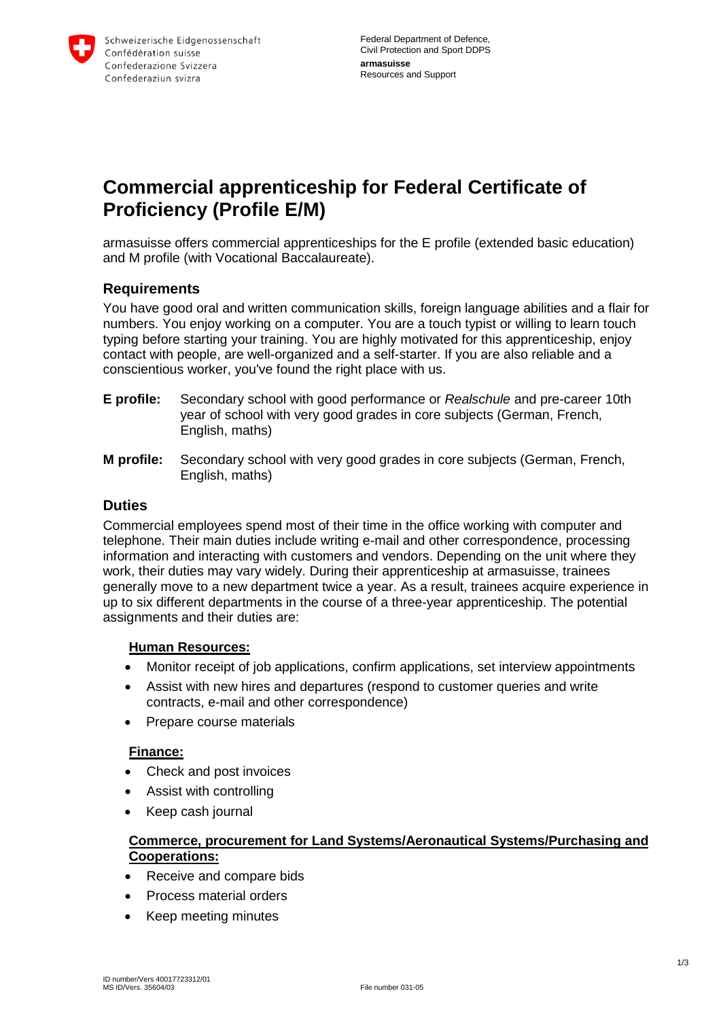

# **Commercial apprenticeship for Federal Certificate of Proficiency (Profile E/M)**

armasuisse offers commercial apprenticeships for the E profile (extended basic education) and M profile (with Vocational Baccalaureate).

# **Requirements**

You have good oral and written communication skills, foreign language abilities and a flair for numbers. You enjoy working on a computer. You are a touch typist or willing to learn touch typing before starting your training. You are highly motivated for this apprenticeship, enjoy contact with people, are well-organized and a self-starter. If you are also reliable and a conscientious worker, you've found the right place with us.

- **E profile:** Secondary school with good performance or *Realschule* and pre-career 10th year of school with very good grades in core subjects (German, French, English, maths)
- **M profile:** Secondary school with very good grades in core subjects (German, French, English, maths)

#### **Duties**

Commercial employees spend most of their time in the office working with computer and telephone. Their main duties include writing e-mail and other correspondence, processing information and interacting with customers and vendors. Depending on the unit where they work, their duties may vary widely. During their apprenticeship at armasuisse, trainees generally move to a new department twice a year. As a result, trainees acquire experience in up to six different departments in the course of a three-year apprenticeship. The potential assignments and their duties are:

#### **Human Resources:**

- Monitor receipt of job applications, confirm applications, set interview appointments
- Assist with new hires and departures (respond to customer queries and write contracts, e-mail and other correspondence)
- Prepare course materials

#### **Finance:**

- Check and post invoices
- Assist with controlling
- Keep cash journal

#### **Commerce, procurement for Land Systems/Aeronautical Systems/Purchasing and Cooperations:**

- Receive and compare bids
- Process material orders
- Keep meeting minutes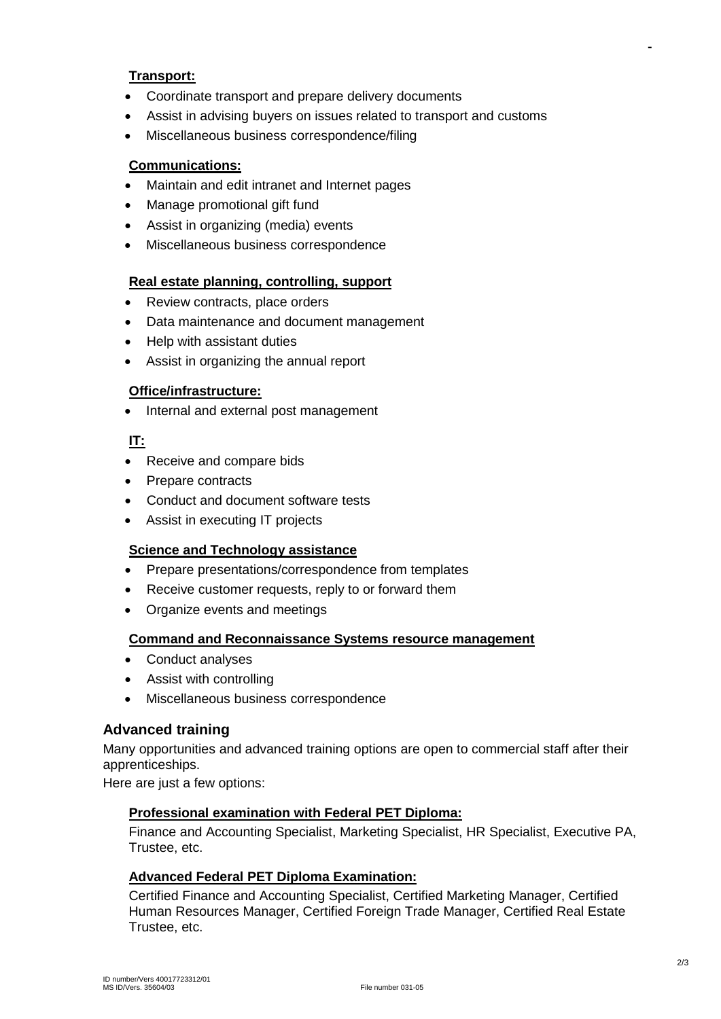#### **Transport:**

- Coordinate transport and prepare delivery documents
- Assist in advising buyers on issues related to transport and customs
- Miscellaneous business correspondence/filing

#### **Communications:**

- Maintain and edit intranet and Internet pages
- Manage promotional gift fund
- Assist in organizing (media) events
- Miscellaneous business correspondence

#### **Real estate planning, controlling, support**

- Review contracts, place orders
- Data maintenance and document management
- Help with assistant duties
- Assist in organizing the annual report

#### **Office/infrastructure:**

• Internal and external post management

#### **IT:**

- Receive and compare bids
- Prepare contracts
- Conduct and document software tests
- Assist in executing IT projects

#### **Science and Technology assistance**

- Prepare presentations/correspondence from templates
- Receive customer requests, reply to or forward them
- Organize events and meetings

#### **Command and Reconnaissance Systems resource management**

- Conduct analyses
- Assist with controlling
- Miscellaneous business correspondence

### **Advanced training**

Many opportunities and advanced training options are open to commercial staff after their apprenticeships.

Here are just a few options:

#### **Professional examination with Federal PET Diploma:**

Finance and Accounting Specialist, Marketing Specialist, HR Specialist, Executive PA, Trustee, etc.

#### **Advanced Federal PET Diploma Examination:**

Certified Finance and Accounting Specialist, Certified Marketing Manager, Certified Human Resources Manager, Certified Foreign Trade Manager, Certified Real Estate Trustee, etc.

**-**